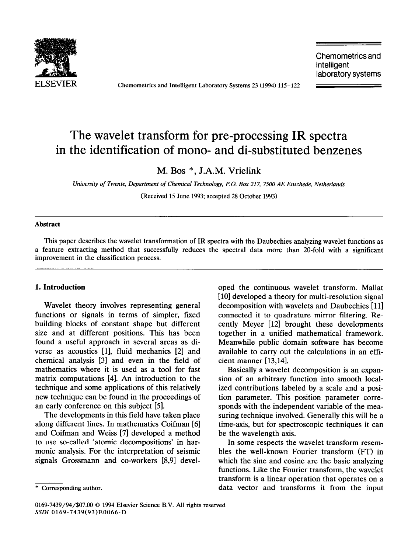

ELSEVIER Chemometrics and Intelligent Laboratory Systems 23 (1994) 115-122

Chemometrics and intelligent laboratory systems

# The wavelet transform for pre-processing IR spectra in the identification of mono- and di-substituted benzenes

M. Bos \*, J.A.M. Vrielink

*University of Twente, Department of Chemical Technology, P.O. Box 217, 7500 AE Enschede, Netherlands*  (Received 15 June 1993; accepted 28 October 1993)

### **Abstract**

This paper describes the wavelet transformation of IR spectra with the Daubechies analyzing wavelet functions as a feature extracting method that successfully reduces the spectral data more than 20-fold with a significant improvement in the classification process.

## **1. Introduction**

Wavelet theory involves representing general functions or signals in terms of simpler, fixed building blocks of constant shape but different size and at different positions. This has been found a useful approach in several areas as diverse as acoustics [l], fluid mechanics [2] and chemical analysis [3] and even in the field of mathematics where it is used as a tool for fast matrix computations [4]. An introduction to the technique and some applications of this relatively new technique can be found in the proceedings of an early conference on this subject [5].

The developments in this field have taken place along different lines. In mathematics Goifman [6] and Goifman and Weiss [7] developed a method to use so-called 'atomic decompositions' in harmonic analysis. For the interpretation of seismic signals Grossmann and co-workers [8,9] devel-

oped the continuous wavelet transform. Mallat [10] developed a theory for multi-resolution signal decomposition with wavelets and Daubechies [11] connected it to quadrature mirror filtering. Recently Meyer [12] brought these developments together in a unified mathematical framework. Meanwhile public domain software has become available to carry out the calculations in an efficient manner [13,14].

Basically a wavelet decomposition is an expansion of an arbitrary function into smooth localized contributions labeled by a scale and a position parameter. This position parameter corresponds with the independent variable of the measuring technique involved. Generally this will be a time-axis, but for spectroscopic techniques it can be the wavelength axis.

In some respects the wavelet transform resembles the well-known Fourier transform (FT) in which the sine and cosine are the basic analyzing functions. Like the Fourier transform, the wavelet transform is a linear operation that operates on a data vector and transforms it from the input

<sup>\*</sup> Corresponding author.

<sup>0169-7439/94/\$07.00 0 1994</sup> Elsevier Science B.V. All rights reserved SSDI 0169-7439(93)E0066-D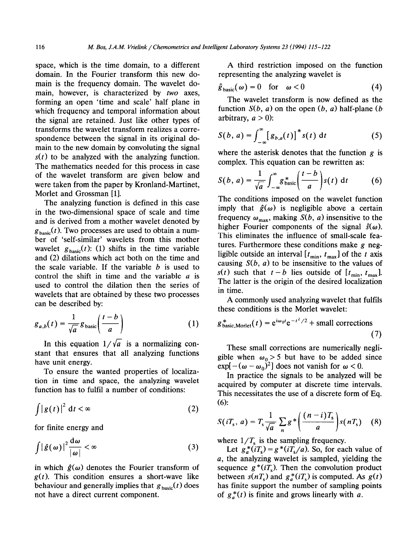space, which is the time domain, to a different domain. In the Fourier transform this new domain is the frequency domain. The wavelet domain, however, is characterized by two axes, forming an open 'time and scale' half plane in which frequency and temporal information about the signal are retained. Just like other types of transforms the wavelet transform realizes a correspondence between the signal in its original domain to the new domain by convoluting the signal  $s(t)$  to be analyzed with the analyzing function. The mathematics needed for this process in case of the wavelet transform are given below and were taken from the paper by Kronland-Martinet, Morlet and Grossman [l].

The analyzing function is defined in this case in the two-dimensional space of scale and time and is derived from a mother wavelet denoted by  $g_{\text{basic}}(t)$ . Two processes are used to obtain a number of 'self-similar' wavelets from this mother wavelet  $g_{\text{basic}}(t)$ : (1) shifts in the time variable and (2) dilations which act both on the time and the scale variable. If the variable *b* is used to control the shift in time and the variable  $a$  is used to control the dilation then the series of wavelets that are obtained by these two processes can be described by:

$$
g_{a,b}(t) = \frac{1}{\sqrt{a}} g_{\text{basic}}\left(\frac{t-b}{a}\right) \tag{1}
$$

In this equation  $1/\sqrt{a}$  is a normalizing constant that ensures that all analyzing functions have unit energy.

To ensure the wanted properties of localization in time and space, the analyzing wavelet function has to fulfil a number of conditions:

$$
\int |g(t)|^2 dt < \infty
$$
 (2)

for finite energy and

$$
\int |\hat{g}(\omega)|^2 \frac{d\omega}{|\omega|} < \infty
$$
 (3)

in which  $\hat{g}(\omega)$  denotes the Fourier transform of  $g(t)$ . This condition ensures a short-wave like behaviour and generally implies that  $g_{\text{basic}}(t)$  does not have a direct current component.

A third restriction imposed on the function representing the analyzing wavelet is

$$
\hat{\mathbf{g}}_{\text{basic}}(\omega) = 0 \quad \text{for} \quad \omega < 0 \tag{4}
$$

The wavelet transform is now defined as the function  $S(b, a)$  on the open  $(b, a)$  half-plane  $(b, b)$ arbitrary,  $a > 0$ ):

$$
S(b, a) = \int_{-\infty}^{\infty} [g_{b,a}(t)]^* s(t) dt
$$
 (5)

where the asterisk denotes that the function  $g$  is complex. This equation can be rewritten as:

$$
S(b, a) = \frac{1}{\sqrt{a}} \int_{-\infty}^{\infty} g_{\text{basic}}^{*} \left( \frac{t - b}{a} \right) s(t) \, \mathrm{d}t \tag{6}
$$

The conditions imposed on the wavelet function imply that  $\hat{g}(\omega)$  is negligible above a certain frequency  $\omega_{\text{max}}$ , making *S(b, a)* insensitive to the higher Fourier components of the signal  $\hat{s}(\omega)$ . This eliminates the influence of small-scale features. Furthermore these conditions make g negligible outside an interval  $[t_{\min}, t_{\max}]$  of the t axis causing  $S(b, a)$  to be insensitive to the values of  $s(t)$  such that  $t-b$  lies outside of  $[t_{\min}, t_{\max}]$ . The latter is the origin of the desired localization in time.

A commonly used analyzing wavelet that fulfils these conditions is the Morlet wavelet:

$$
g_{\text{basic,Morlet}}^{*}(t) = e^{i\omega_0 t} e^{-t^2/2} + \text{small corrections} \tag{7}
$$

These small corrections are numerically negligible when  $\omega_0 > 5$  but have to be added since  $\exp[-(\omega - \omega_0)^2]$  does not vanish for  $\omega < 0$ .

In practice the signals to be analyzed will be acquired by computer at discrete time intervals. This necessitates the use of a discrete form of Eq. (6):

$$
S(iT_s, a) = T_s \frac{1}{\sqrt{a}} \sum_n g^* \left( \frac{(n-i)T_s}{a} \right) s(nT_s) \quad (8)
$$

where  $1/T_s$  is the sampling frequency.

Let  $g_a^*(iT_s) = g^*(iT_s/a)$ . So, for each value of a, the analyzing wavelet is sampled, yielding the sequence  $g^*(iT_s)$ . Then the convolution product between  $s(nT_s)$  and  $g_a^*(iT_s)$  is computed. As  $g(t)$ has finite support the number of sampling points of  $g_a^*(t)$  is finite and grows linearly with *a*.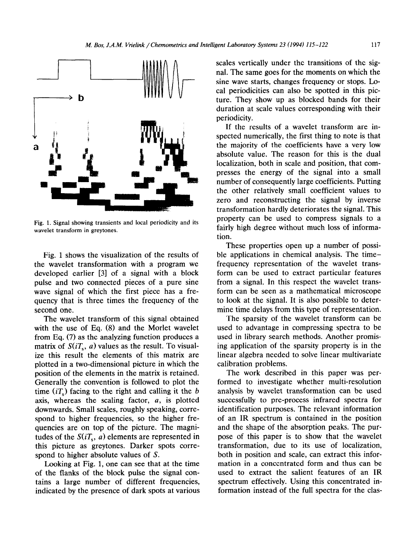

Fig. 1. Signal showing transients and local periodicity and its wavelet transform in greytones.

Fig. 1 shows the visualization of the results of the wavelet transformation with a program we developed earlier [3] of a signal with a block pulse and two connected pieces of a pure sine wave signal of which the first piece has a frequency that is three times the frequency of the second one.

The wavelet transform of this signal obtained with the use of Eq.  $(8)$  and the Morlet wavelet from Eq. (7) as the analyzing function produces a matrix of  $S(iT_s, a)$  values as the result. To visualize this result the elements of this matrix are plotted in a two-dimensional picture in which the position of the elements in the matrix is retained. Generally the convention is followed to plot the time  $(iT<sub>s</sub>)$  facing to the right and calling it the b axis, whereas the scaling factor, a, is plotted downwards. Small scales, roughly speaking, correspond to higher frequencies, so the higher frequencies are on top of the picture. The magnitudes of the  $S(iT_s, a)$  elements are represented in this picture as greytones. Darker spots correspond to higher absolute values of S.

Looking at Fig. 1, one can see that at the time of the flanks of the block pulse the signal contains a large number of different frequencies, indicated by the presence of dark spots at various scales vertically under the transitions of the signal. The same goes for the moments on which the sine wave starts, changes frequency or stops. Local periodicities can also be spotted in this picture. They show up as blocked bands for their duration at scale values corresponding with their periodicity.

If the results of a wavelet transform are inspected numerically, the first thing to note is that the majority of the coefficients have a very low absolute value. The reason for this is the dual localization, both in scale and position, that compresses the energy of the signal into a small number of consequently large coefficients. Putting the other relatively small coefficient values to zero and reconstructing the signal by inverse transformation hardly deteriorates the signal. This property can be used to compress signals to a fairly high degree without much loss of information.

These properties open up a number of possible applications in chemical analysis. The timefrequency representation of the wavelet transform can be used to extract particular features from a signal. In this respect the wavelet transform can be seen as a mathematical microscope to look at the signal. It is also possible to determine time delays from this type of representation.

The sparsity of the wavelet transform can be used to advantage in compressing spectra to be used in library search methods. Another promising application of the sparsity property is in the linear algebra needed to solve linear multivariate calibration problems.

The work described in this paper was performed to investigate whether multi-resolution analysis by wavelet transformation can be used successfully to pre-process infrared spectra for identification purposes. The relevant information of an IR spectrum is contained in the position and the shape of the absorption peaks. The purpose of this paper is to show that the wavelet transformation, due to its use of localization, both in position and scale, can extract this information in a concentrated form and thus can be used to extract the salient features of an IR spectrum effectively. Using this concentrated information instead of the full spectra for the clas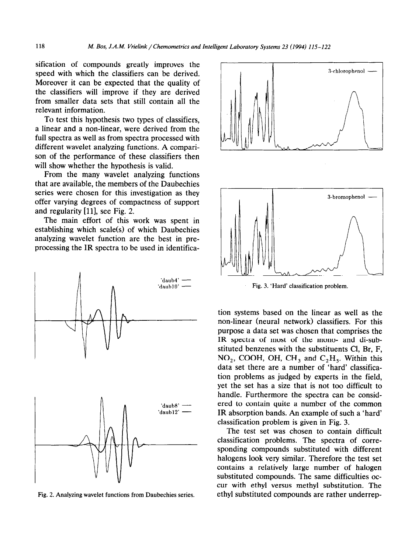sification of compounds greatly improves the speed with which the classifiers can be derived. Moreover it can be expected that the quality of the classifiers will improve if they are derived from smaller data sets that still contain all the relevant information.

To test this hypothesis two types of classifiers, a linear and a non-linear, were derived from the full spectra as well as from spectra processed with different wavelet analyzing functions. A comparison of the performance of these classifiers then will show whether the hypothesis is valid.

From the many wavelet analyzing functions that are available, the members of the Daubechies series were chosen for this investigation as they offer varying degrees of compactness of support and regularity [11], see Fig. 2.

The main effort of this work was spent in establishing which scale(s) of which Daubechies analyzing wavelet function are the best in preprocessing the IR spectra to be used in identifica-



Fig. 2. Analyzing wavelet functions from Daubechies series.



Fig. 3. 'Hard' classification problem.

tion systems based on the linear as well as the non-linear (neural network) classifiers. For this purpose a data set was chosen that comprises the IR spectra of most of the mono- and di-substituted benzenes with the substituents Cl, Br, F, NO<sub>2</sub>, COOH, OH, CH<sub>3</sub> and C<sub>2</sub>H<sub>5</sub>. Within this data set there are a number of 'hard' classification problems as judged by experts in the field, yet the set has a size that is not too difficult to handle. Furthermore the spectra can be considered to contain quite a number of the common IR absorption bands. An example of such a 'hard' classification problem is given in Fig. 3.

The test set was chosen to contain difficult classification problems. The spectra of corresponding compounds substituted with different halogens look very similar. Therefore the test set contains a relatively large number of halogen substituted compounds. The same difficulties occur with ethyl versus methyl substitution. The ethyl substituted compounds are rather underrep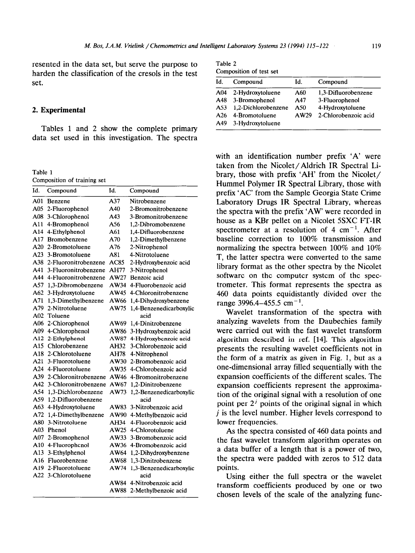resented in the data set, but serve the purpose to harden the classification of the cresols in the test set.

### 2. **Experimental**

Tables 1 and 2 show the complete primary data set used in this investigation. The spectra

Table 1 Composition of training set

| Id. | Compound             | Id.  | Compound                |
|-----|----------------------|------|-------------------------|
| A01 | Benzene              | A37  | Nitrobenzene            |
| A05 | 2-Fluorophenol       | A40  | 2-Bromonitrobenzene     |
| A08 | 3-Chlorophenol       | A43  | 3-Bromonitrobenzene     |
| A11 | 4-Bromophenol        | A56  | 1.2-Dibromobenzene      |
| A14 | 4-Ethylphenol        | A61  | 1,4-Difluorobenzene     |
| A17 | Bromobenzene         | A70  | 1,2-Dimethylbenzene     |
| A20 | 2-Bromotoluene       | A76  | 2-Nitrophenol           |
| A23 | 3-Bromotoluene       | A81  | 4-Nitrotoluene          |
| A38 | 2-Fluoronitrobenzene | AC85 | 2-Hydroxybenzoic acid   |
| A41 | 3-Fluoronitrobenzene | AH77 | 3-Nitrophenol           |
| A44 | 4-Fluoronitrobenzene | AW27 | Benzoic acid            |
| A57 | 1,3-Dibromobenzene   | AW34 | 4-Fluorobenzoic acid    |
| A62 | 3-Hydroxytoluene     | AW45 | 4-Chloronitrobenzene    |
| A71 | 1,3-Dimethylbenzene  | AW66 | 1,4-Dihydroxybenzene    |
| A79 | 2-Nitrotoluene       | AW75 | 1,4-Benzenedicarboxylic |
| A02 | Toluene              |      | acid                    |
| A06 | 2-Chlorophenol       | AW69 | 1,4-Dinitrobenzene      |
| A09 | 4-Chlorophenol       | AW86 | 3-Hydroxybenzoic acid   |
| A12 | 2-Ethylphenol        | AW87 | 4-Hydroxybenzoic acid   |
|     | A15 Chlorobenzene    | AH32 | 3-Chlorobenzoic acid    |
| A18 | 2-Chlorotoluene      | AH78 | 4-Nitrophenol           |
| A21 | 3-Fluorotoluene      | AW30 | 2-Bromobenzoic acid     |
|     | A24 4-Fluorotoluene  | AW35 | 4-Chlorobenzoic acid    |
| A39 | 2-Chloronitrobenzene | AW46 | 4-Bromonitrobenzene     |
| A42 | 3-Chloronitrobenzene | AW67 | 1,2-Dinitrobenzene      |
| A54 | 1,3-Dichlorobenzene  | AW73 | 1,2-Benzenedicarboxylic |
| A59 | 1,2-Difluorobenzene  |      | acid                    |
| A63 | 4-Hydroxytoluene     | AW83 | 3-Nitrobenzoic acid     |
| A72 | 1,4-Dimethylbenzene  | AW90 | 4-Methylbenzoic acid    |
| A80 | 3-Nitrotoluene       | AH34 | 4-Fluorobenzoic acid    |
| A03 | Phenol               | AW25 | 4-Chlorotoluene         |
| A07 | 2-Bromophenol        | AW33 | 3-Bromobenzoic acid     |
| A10 | 4-Fluorophenol       | AW36 | 4-Bromobenzoic acid     |
| A13 | 3-Ethylphenol        | AW64 | 1,2-Dihydroxybenzene    |
| A16 | Fluorobenzene        | AW68 | 1,3-Dinitrobenzene      |
| A19 | 2-Fluorotoluene      | AW74 | 1,3-Benzenedicarboxylic |
| A22 | 3-Chlorotoluene      |      | acid                    |
|     |                      | AW84 | 4-Nitrobenzoic acid     |
|     |                      | AW88 | 2-Methylbenzoic acid    |

| Table 2                 |  |
|-------------------------|--|
| Composition of test set |  |

| Id.             | Compound            | Id.  | Compound             |
|-----------------|---------------------|------|----------------------|
| A <sub>04</sub> | 2-Hydroxytoluene    | A60  | 1,3-Difluorobenzene  |
| A48             | 3-Bromophenol       | A47  | 3-Fluorophenol       |
| A53             | 1,2-Dichlorobenzene | A50  | 4-Hydroxytoluene     |
| A26             | 4-Bromotoluene      | AW29 | 2-Chlorobenzoic acid |
| A49             | 3-Hydroxytoluene    |      |                      |

with an identification number prefix 'A' were taken from the Nicolet/Aldrich IR Spectral Library, those with prefix 'AH' from the Nicolet/ Hummel Polymer IR Spectral Library, those with prefix 'AC' from the Sample Georgia State Crime Laboratory Drugs IR Spectral Library, whereas the spectra with the prefix 'AW' were recorded in house as a KBr pellet on a Nicolet SSXC FT-IR spectrometer at a resolution of 4  $cm^{-1}$ . After baseline correction to 100% transmission and normalizing the spectra between 100% and 10% T, the latter spectra were converted to the same library format as the other spectra by the Nicolet software on the computer system of the spectrometer. This format represents the spectra as 460 data points equidistantly divided over the range 3996.4–455.5 cm<sup>-1</sup>.

Wavelet transformation of the spectra with analyzing wavelets from the Daubechies family were carried out with the fast wavelet transform algorithm described in ref. [14]. This algorithm presents the resulting wavelet coefficients not in the form of a matrix as given in Fig. 1, but as a one-dimensional array filled sequentially with the expansion coefficients of the different scales. The expansion coefficients represent the approximation of the original signal with a resolution of one point per  $2<sup>j</sup>$  points of the original signal in which j is the level number. Higher levels correspond to lower frequencies.

As the spectra consisted of 460 data points and the fast wavelet transform algorithm operates on a data buffer of a length that is a power of two, the spectra were padded with zeros to 512 data points.

Using either the full spectra or the wavelet transform coefficients produced by one or two chosen levels of the scale of the analyzing func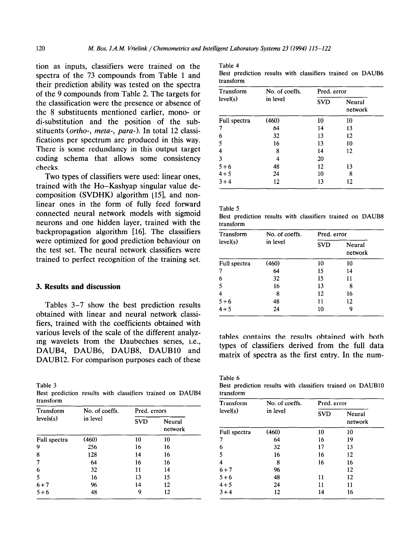tion as inputs, classifiers were trained on the spectra of the 73 compounds from Table 1 and their prediction ability was tested on the spectra of the 9 compounds from Table 2. The targets for the classification were the presence or absence of the 8 substituents mentioned earlier, mono- or di-substitution and the position of the substituents (ortho-, meta-, para-). In total 12 classifications per spectrum are produced in this way. There is some redundancy in this output target coding schema that allows some consistency checks.

Two types of classifiers were used: linear ones, trained with the Ho-Kashyap singular value decomposition (SVDHK) algorithm  $[15]$ , and nonlinear ones in the form of fully feed forward connected neural network models with sigmoid neurons and one hidden layer, trained with the backpropagation algorithm [16]. The classifiers were optimized for good prediction behaviour on the test set. The neural network classifiers were trained to perfect recognition of the training set.

#### 3. **Results and discussion**

Tables 3-7 show the best prediction results obtained with linear and neural network classifiers, trained with the coefficients obtained with various levels of the scale of the different analyzing wavelets from the Daubechies series, i.e., DAUB4, DAUB6, DAUB8, DAUB10 and DAUB12. For comparison purposes each of these

Table 3

Best prediction results with classifiers trained on DAUB4 transform

| Transform    | No. of coeffs. | Pred. errors |                   |
|--------------|----------------|--------------|-------------------|
| levels(s)    | in level       | <b>SVD</b>   | Neural<br>network |
| Full spectra | (460)          | 10           | 10                |
| 9            | 256            | 16           | 16                |
| 8            | 128            | 14           | 16                |
| 7            | 64             | 16           | 16                |
| 6            | 32             | 11           | 14                |
| 5            | 16             | 13           | 15                |
| $6 + 7$      | 96             | 14           | 12                |
| $5 + 6$      | 48             | 9            | 12                |

| Table 4                   |   |
|---------------------------|---|
| $\mathbf{D} = \mathbf{A}$ | . |

Best prediction results with classifiers trained on DAUB6 transform

| Transform    | No. of coeffs. | Pred. error |                   |
|--------------|----------------|-------------|-------------------|
| level(s)     | in level       | <b>SVD</b>  | Neural<br>network |
| Full spectra | (460)          | 10          | 10                |
| 7            | 64             | 14          | 13                |
| 6            | 32             | 13          | 12                |
| 5            | 16             | 13          | 10                |
| 4            | 8              | 14          | 12                |
| 3            | 4              | 20          |                   |
| $5 + 6$      | 48             | 12          | 13                |
| $4 + 5$      | 24             | 10          | 8                 |
| $3 + 4$      | 12             | 13          | 12                |

| Table 5   |                                                          |  |  |  |
|-----------|----------------------------------------------------------|--|--|--|
|           | Best prediction results with classifiers trained on DAUB |  |  |  |
| transform |                                                          |  |  |  |

| Transform    | No. of coeffs. | Pred. error<br><b>SVD</b><br>Neural<br>network |    |
|--------------|----------------|------------------------------------------------|----|
| level(s)     | in level       |                                                |    |
| Full spectra | (460)          | 10                                             | 10 |
| 7            | 64             | 15                                             | 14 |
| 6            | 32             | 15                                             | 11 |
| 5            | 16             | 13                                             | 8  |
| 4            | 8              | 12                                             | 16 |
| $5 + 6$      | 48             | 11                                             | 12 |
| $4 + 5$      | 24             | 10                                             | g  |

tables contains the results obtained with both types of classifiers derived from the full data matrix of spectra as the first entry. In the num-

Table 6 Best prediction results with classifiers trained on DAUB10 transform

| <b>Transform</b> | No. of coeffs. | Pred. error |                   |
|------------------|----------------|-------------|-------------------|
| level(s)         | in level       | <b>SVD</b>  | Neural<br>network |
| Full spectra     | (460)          | 10          | 10                |
| 7                | 64             | 16          | 19                |
| 6                | 32             | 17          | 13                |
| 5                | 16             | 16          | 12                |
| $\overline{4}$   | 8              | 16          | 16                |
| $6 + 7$          | 96             |             | 12                |
| $5 + 6$          | 48             | 11          | 12                |
| $4 + 5$          | 24             | 11          | 11                |
| $3 + 4$          | 12             | 14          | 16                |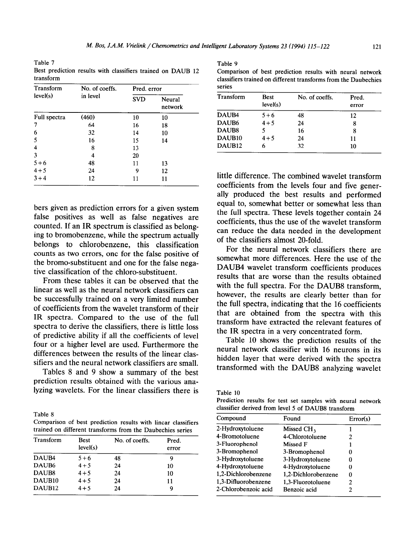Table 7 Table 9 Best prediction results with classifiers trained on DAUB 12 transform

| level(s)<br>in level<br><b>SVD</b> |                   |
|------------------------------------|-------------------|
|                                    | Neural<br>network |
| (460)<br>Full spectra<br>10<br>10  |                   |
| 64<br>7<br>16<br>18                |                   |
| 6<br>32<br>14<br>10                |                   |
| 5<br>16<br>15<br>14                |                   |
| 4<br>8<br>13                       |                   |
| 3<br>20<br>4                       |                   |
| $5 + 6$<br>48<br>11<br>13          |                   |
| $4 + 5$<br>24<br>9<br>12           |                   |
| $3 + 4$<br>12<br>11<br>11          |                   |

bers given as prediction errors for a given system false positives as well as false negatives are counted. If an IR spectrum is classified as belonging to bromobenzene, while the spectrum actually belongs to chlorobenzene, this classification counts as two errors, one for the false positive of the bromo-substituent and one for the false negative classification of the chloro-substituent.

From these tables it can be observed that the linear as well as the neural network classifiers can be successfully trained on a very limited number of coefficients from the wavelet transform of their IR spectra. Compared to the use of the full spectra to derive the classifiers, there is little loss of predictive ability if all the coefficients of level four or a higher level are used. Furthermore the differences between the results of the linear classifiers and the neural network classifiers are small.

Tables 8 and 9 show a summary of the best prediction results obtained with the various analyzing wavelets. For the linear classifiers there is

Table 8

Comparison of best prediction results with linear classifiers trained on different transforms from the Daubechies series

| Transform          | <b>Best</b><br>level(s) | No. of coeffs. | Pred.<br>error |
|--------------------|-------------------------|----------------|----------------|
| DAUB <sub>4</sub>  | $5 + 6$                 | 48             | 9              |
| DAUB6              | $4 + 5$                 | 24             | 10             |
| DAUB <sub>8</sub>  | $4 + 5$                 | 24             | 10             |
| DAUB <sub>10</sub> | $4 + 5$                 | 24             | 11             |
| DAUB <sub>12</sub> | $4 + 5$                 | 24             | 9              |

Comparison of best prediction results with neural network classifiers trained on different transforms from the Daubechies series

| Transform          | <b>Best</b> | No. of coeffs. | Pred. |  |
|--------------------|-------------|----------------|-------|--|
|                    | level(s)    |                | error |  |
| DAUB <sub>4</sub>  | $5 + 6$     | 48             | 12    |  |
| DAUB6              | $4 + 5$     | 24             | 8     |  |
| DAUB <sub>8</sub>  |             | 16             | 8     |  |
| DAUB <sub>10</sub> | $4 + 5$     | 24             | 11    |  |
| DAUB <sub>12</sub> |             | 32             | 10    |  |

little difference. The combined wavelet transform coefficients from the levels four and five generally produced the best results and performed equal to, somewhat better or somewhat less than the full spectra. These levels together contain 24 coefficients, thus the use of the wavelet transform can reduce the data needed in the development of the classifiers almost 20-fold.

For the neural network classifiers there are somewhat more differences. Here the use of the DAUB4 wavelet transform coefficients produces results that are worse than the results obtained with the full spectra. For the DAUB8 transform, however, the results are clearly better than for the full spectra, indicating that the 16 coefficients that are obtained from the spectra with this transform have extracted the relevant features of the IR spectra in a very concentrated form.

Table 10 shows the prediction results of the neural network classifier with 16 neurons in its hidden layer that were derived with the spectra transformed with the DAUBS analyzing wavelet

Table 10

Prediction results for test set samples with neural network classifier derived from level 5 of DAUB8 transform

| Found                  | Error(s) |
|------------------------|----------|
| Missed CH <sub>2</sub> |          |
| 4-Chlorotoluene        | 2        |
| Missed F               |          |
| 3-Bromophenol          | 0        |
| 3-Hydroxytoluene       | O        |
| 4-Hydroxytoluene       | n        |
| 1,2-Dichlorobenzene    | 0        |
| 1.3-Fluorotoluene      | 2        |
| Benzoic acid           | 2        |
|                        |          |